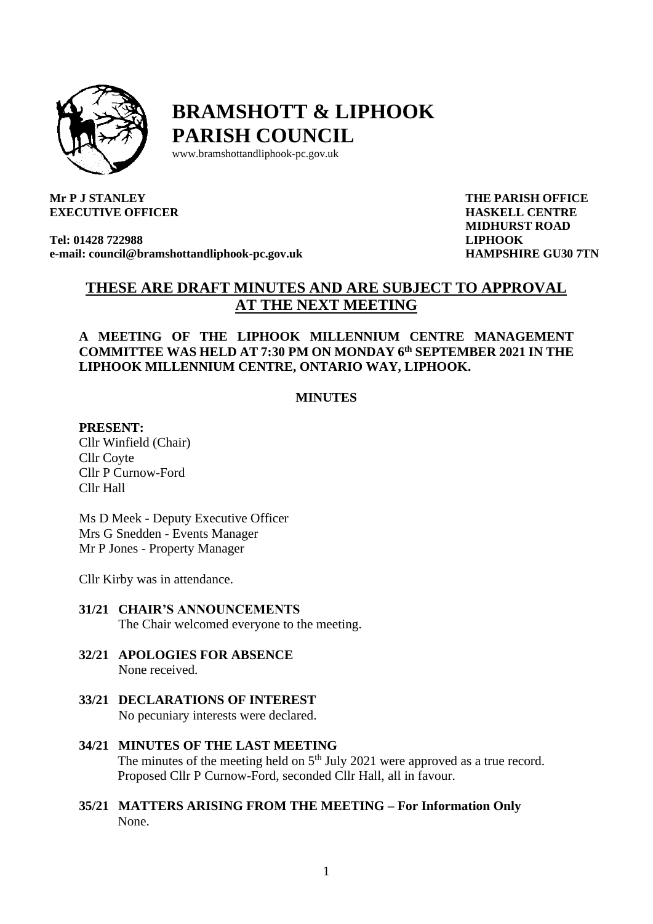

# **BRAMSHOTT & LIPHOOK PARISH COUNCIL**

[www.bramshottandl](http://www.bramshottand/)iphook-pc.gov.uk

#### **Mr P J STANLEY EXECUTIVE OFFICER**

**Tel: 01428 722988 e-mail: [council@bramshottandliphook-pc.gov.uk](mailto:council@bramshottandliphook-pc.gov.uk)** **THE PARISH OFFICE HASKELL CENTRE MIDHURST ROAD LIPHOOK HAMPSHIRE GU30 7TN**

# **THESE ARE DRAFT MINUTES AND ARE SUBJECT TO APPROVAL AT THE NEXT MEETING**

#### **A MEETING OF THE LIPHOOK MILLENNIUM CENTRE MANAGEMENT COMMITTEE WAS HELD AT 7:30 PM ON MONDAY 6 th SEPTEMBER 2021 IN THE LIPHOOK MILLENNIUM CENTRE, ONTARIO WAY, LIPHOOK.**

#### **MINUTES**

#### **PRESENT:**

Cllr Winfield (Chair) Cllr Coyte Cllr P Curnow-Ford Cllr Hall

Ms D Meek - Deputy Executive Officer Mrs G Snedden - Events Manager Mr P Jones - Property Manager

Cllr Kirby was in attendance.

- **31/21 CHAIR'S ANNOUNCEMENTS**  The Chair welcomed everyone to the meeting.
- **32/21 APOLOGIES FOR ABSENCE** None received.
- **33/21 DECLARATIONS OF INTEREST** No pecuniary interests were declared.
- **34/21 MINUTES OF THE LAST MEETING**  The minutes of the meeting held on  $5<sup>th</sup>$  July 2021 were approved as a true record. Proposed Cllr P Curnow-Ford, seconded Cllr Hall, all in favour.
- **35/21 MATTERS ARISING FROM THE MEETING – For Information Only** None.